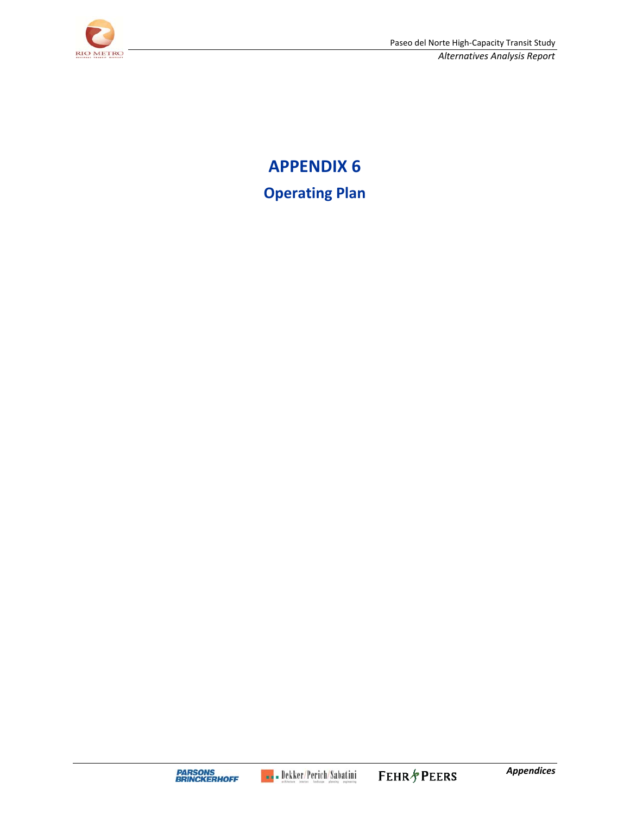

**APPENDIX 6 Operating Plan**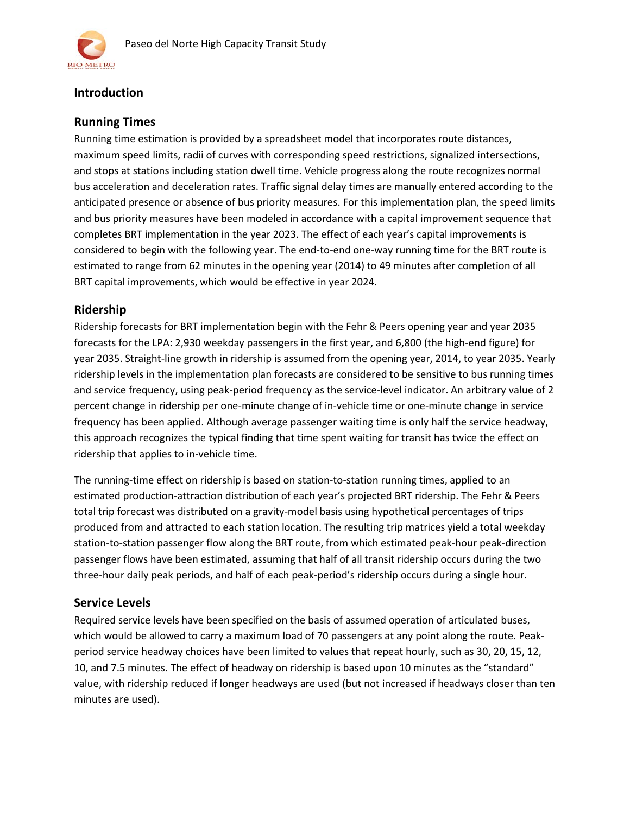

# **Introduction**

# **Running Times**

Running time estimation is provided by a spreadsheet model that incorporates route distances, maximum speed limits, radii of curves with corresponding speed restrictions, signalized intersections, and stops at stations including station dwell time. Vehicle progress along the route recognizes normal bus acceleration and deceleration rates. Traffic signal delay times are manually entered according to the anticipated presence or absence of bus priority measures. For this implementation plan, the speed limits and bus priority measures have been modeled in accordance with a capital improvement sequence that completes BRT implementation in the year 2023. The effect of each year's capital improvements is considered to begin with the following year. The end-to-end one-way running time for the BRT route is estimated to range from 62 minutes in the opening year (2014) to 49 minutes after completion of all BRT capital improvements, which would be effective in year 2024.

# **Ridership**

Ridership forecasts for BRT implementation begin with the Fehr & Peers opening year and year 2035 forecasts for the LPA: 2,930 weekday passengers in the first year, and 6,800 (the high-end figure) for year 2035. Straight-line growth in ridership is assumed from the opening year, 2014, to year 2035. Yearly ridership levels in the implementation plan forecasts are considered to be sensitive to bus running times and service frequency, using peak-period frequency as the service-level indicator. An arbitrary value of 2 percent change in ridership per one-minute change of in-vehicle time or one-minute change in service frequency has been applied. Although average passenger waiting time is only half the service headway, this approach recognizes the typical finding that time spent waiting for transit has twice the effect on ridership that applies to in-vehicle time.

The running-time effect on ridership is based on station-to-station running times, applied to an estimated production-attraction distribution of each year's projected BRT ridership. The Fehr & Peers total trip forecast was distributed on a gravity-model basis using hypothetical percentages of trips produced from and attracted to each station location. The resulting trip matrices yield a total weekday station-to-station passenger flow along the BRT route, from which estimated peak-hour peak-direction passenger flows have been estimated, assuming that half of all transit ridership occurs during the two three-hour daily peak periods, and half of each peak-period's ridership occurs during a single hour.

### **Service Levels**

Required service levels have been specified on the basis of assumed operation of articulated buses, which would be allowed to carry a maximum load of 70 passengers at any point along the route. Peakperiod service headway choices have been limited to values that repeat hourly, such as 30, 20, 15, 12, 10, and 7.5 minutes. The effect of headway on ridership is based upon 10 minutes as the "standard" value, with ridership reduced if longer headways are used (but not increased if headways closer than ten minutes are used).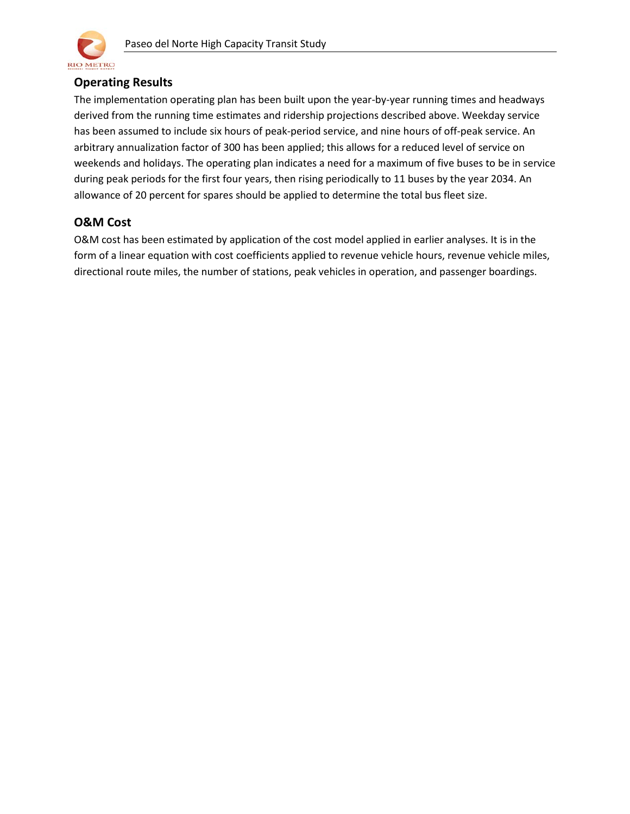

# **Operating Results**

The implementation operating plan has been built upon the year-by-year running times and headways derived from the running time estimates and ridership projections described above. Weekday service has been assumed to include six hours of peak-period service, and nine hours of off-peak service. An arbitrary annualization factor of 300 has been applied; this allows for a reduced level of service on weekends and holidays. The operating plan indicates a need for a maximum of five buses to be in service during peak periods for the first four years, then rising periodically to 11 buses by the year 2034. An allowance of 20 percent for spares should be applied to determine the total bus fleet size.

# **O&M Cost**

O&M cost has been estimated by application of the cost model applied in earlier analyses. It is in the form of a linear equation with cost coefficients applied to revenue vehicle hours, revenue vehicle miles, directional route miles, the number of stations, peak vehicles in operation, and passenger boardings.